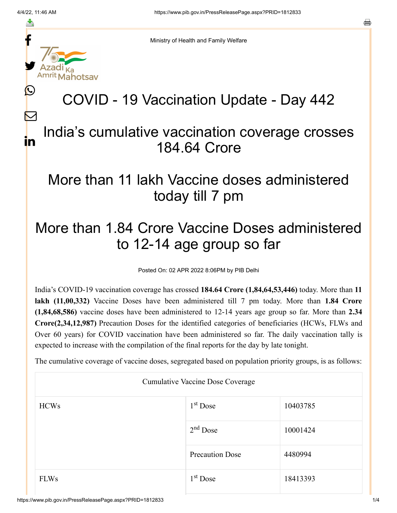f

≛

y.

L

 $\bm{\nabla}$ 

in

Ministry of Health and Family Welfare

## COVID - 19 Vaccination Update - Day 442

## India's cumulative vaccination coverage crosses 184.64 Crore

## More than 11 lakh Vaccine doses administered today till 7 pm

## More than 1.84 Crore Vaccine Doses administered to 12-14 age group so far

Posted On: 02 APR 2022 8:06PM by PIB Delhi

India's COVID-19 vaccination coverage has crossed **184.64 Crore (1,84,64,53,446)** today. More than **11 lakh (11,00,332)** Vaccine Doses have been administered till 7 pm today. More than **1.84 Crore (1,84,68,586)** vaccine doses have been administered to 12-14 years age group so far. More than **2.34 Crore(2,34,12,987)** Precaution Doses for the identified categories of beneficiaries (HCWs, FLWs and Over 60 years) for COVID vaccination have been administered so far. The daily vaccination tally is expected to increase with the compilation of the final reports for the day by late tonight.

The cumulative coverage of vaccine doses, segregated based on population priority groups, is as follows:

| Cumulative Vaccine Dose Coverage |                        |          |  |  |
|----------------------------------|------------------------|----------|--|--|
| <b>HCWs</b>                      | $1st$ Dose             | 10403785 |  |  |
|                                  | $2nd$ Dose             | 10001424 |  |  |
|                                  | <b>Precaution Dose</b> | 4480994  |  |  |
| <b>FLWs</b>                      | $1st$ Dose             | 18413393 |  |  |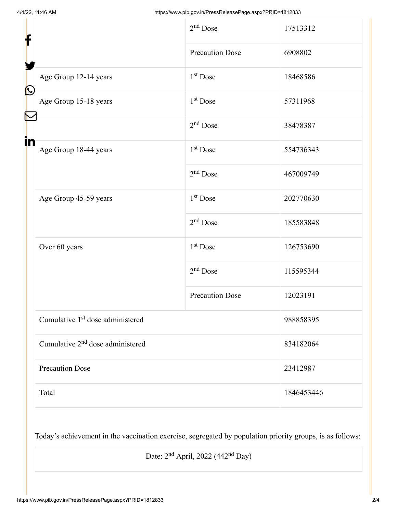| f            |                                              | $2nd$ Dose             | 17513312   |
|--------------|----------------------------------------------|------------------------|------------|
|              |                                              | <b>Precaution Dose</b> | 6908802    |
| $\bf \Omega$ | Age Group 12-14 years                        | $1st$ Dose             | 18468586   |
|              | Age Group 15-18 years                        | $1st$ Dose             | 57311968   |
|              |                                              | $2nd$ Dose             | 38478387   |
| in           | Age Group 18-44 years                        | 1 <sup>st</sup> Dose   | 554736343  |
|              |                                              | $2nd$ Dose             | 467009749  |
|              | Age Group 45-59 years                        | $1st$ Dose             | 202770630  |
|              |                                              | $2nd$ Dose             | 185583848  |
|              | Over 60 years                                | $1st$ Dose             | 126753690  |
|              |                                              | $2nd$ Dose             | 115595344  |
|              |                                              | <b>Precaution Dose</b> | 12023191   |
|              | Cumulative 1 <sup>st</sup> dose administered |                        | 988858395  |
|              | Cumulative 2 <sup>nd</sup> dose administered |                        | 834182064  |
|              | <b>Precaution Dose</b>                       |                        | 23412987   |
|              | Total                                        |                        | 1846453446 |

Today's achievement in the vaccination exercise, segregated by population priority groups, is as follows:

Date:  $2<sup>nd</sup>$  April, 2022 (442<sup>nd</sup> Day)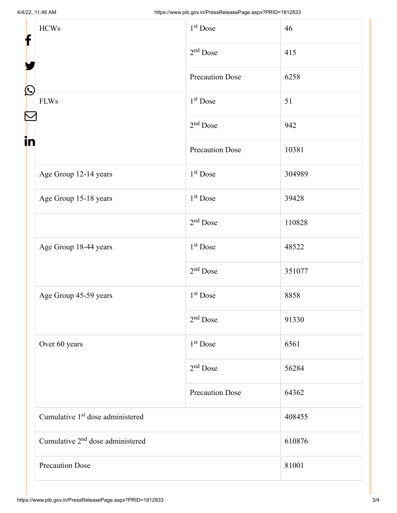| <b>HCWs</b>                                  | $1st$ Dose             | 46     |
|----------------------------------------------|------------------------|--------|
|                                              | $2nd$ Dose             | 415    |
| $\bf \Omega$                                 | <b>Precaution Dose</b> | 6258   |
| <b>FLWs</b>                                  | 1 <sup>st</sup> Dose   | 51     |
|                                              | $2nd$ Dose             | 942    |
| in                                           | <b>Precaution Dose</b> | 10381  |
| Age Group 12-14 years                        | $1st$ Dose             | 304989 |
| Age Group 15-18 years                        | $1st$ Dose             | 39428  |
|                                              | $2nd$ Dose             | 110828 |
| Age Group 18-44 years                        | $1st$ Dose             | 48522  |
|                                              | $2nd$ Dose             | 351077 |
| Age Group 45-59 years                        | $1st$ Dose             | 8858   |
|                                              | $2nd$ Dose             | 91330  |
| Over 60 years                                | $1st$ Dose             | 6561   |
|                                              | $2nd$ Dose             | 56284  |
|                                              | <b>Precaution Dose</b> | 64362  |
| Cumulative 1 <sup>st</sup> dose administered |                        | 408455 |
| Cumulative 2 <sup>nd</sup> dose administered |                        | 610876 |
| <b>Precaution Dose</b>                       |                        | 81001  |